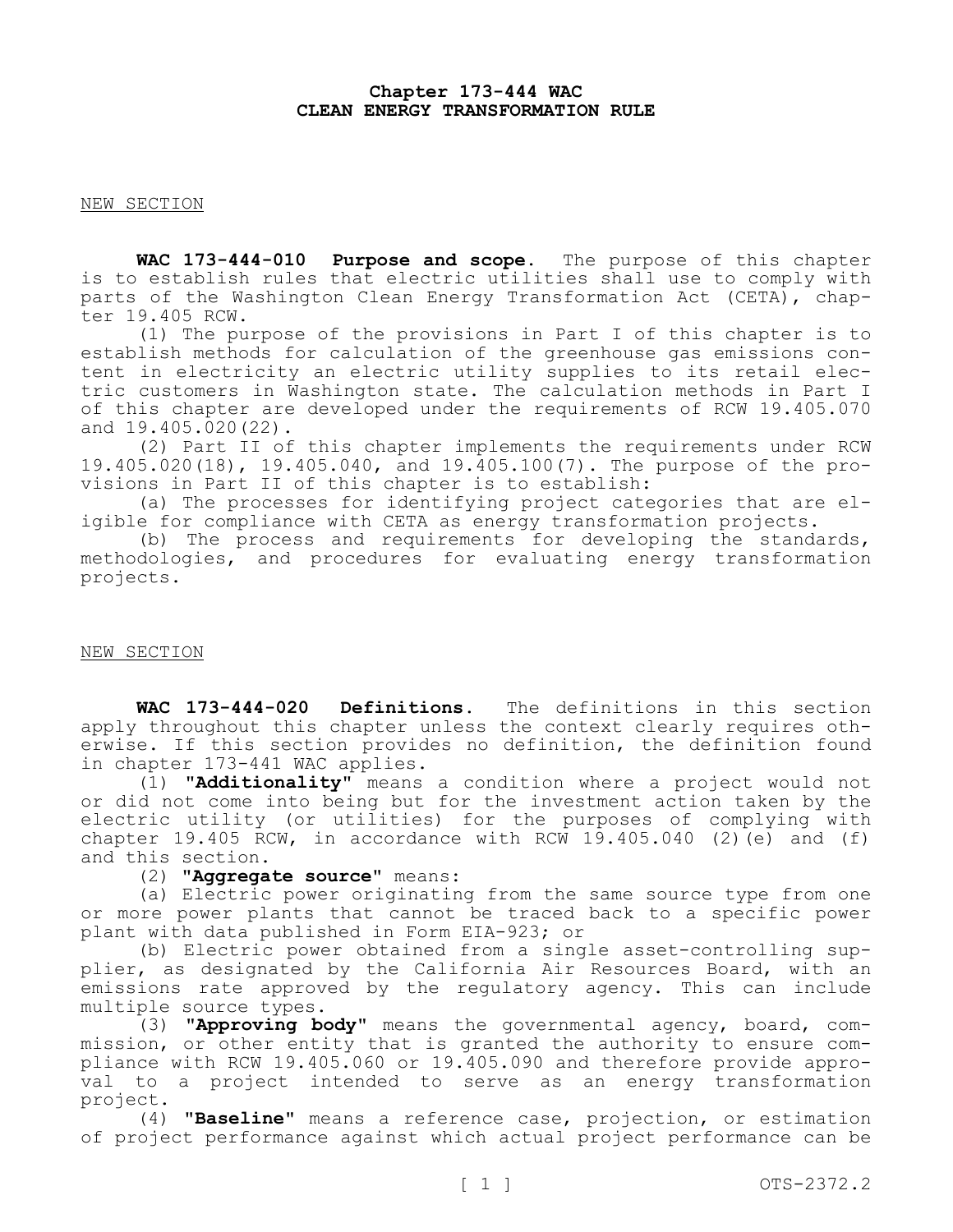## **Chapter 173-444 WAC CLEAN ENERGY TRANSFORMATION RULE**

NEW SECTION

**WAC 173-444-010 Purpose and scope.** The purpose of this chapter is to establish rules that electric utilities shall use to comply with parts of the Washington Clean Energy Transformation Act (CETA), chapter 19.405 RCW.

(1) The purpose of the provisions in Part I of this chapter is to establish methods for calculation of the greenhouse gas emissions content in electricity an electric utility supplies to its retail electric customers in Washington state. The calculation methods in Part I of this chapter are developed under the requirements of RCW 19.405.070 and 19.405.020(22).

(2) Part II of this chapter implements the requirements under RCW 19.405.020(18), 19.405.040, and 19.405.100(7). The purpose of the provisions in Part II of this chapter is to establish:

(a) The processes for identifying project categories that are eligible for compliance with CETA as energy transformation projects.

(b) The process and requirements for developing the standards, methodologies, and procedures for evaluating energy transformation projects.

### NEW SECTION

**WAC 173-444-020 Definitions.** The definitions in this section apply throughout this chapter unless the context clearly requires otherwise. If this section provides no definition, the definition found in chapter 173-441 WAC applies.

(1) **"Additionality"** means a condition where a project would not or did not come into being but for the investment action taken by the electric utility (or utilities) for the purposes of complying with chapter 19.405 RCW, in accordance with RCW 19.405.040  $(2)$   $(e)$  and  $(f)$ and this section.

(2) **"Aggregate source"** means:

(a) Electric power originating from the same source type from one or more power plants that cannot be traced back to a specific power plant with data published in Form EIA-923; or

(b) Electric power obtained from a single asset-controlling supplier, as designated by the California Air Resources Board, with an emissions rate approved by the regulatory agency. This can include multiple source types.

(3) **"Approving body"** means the governmental agency, board, commission, or other entity that is granted the authority to ensure compliance with RCW 19.405.060 or 19.405.090 and therefore provide approval to a project intended to serve as an energy transformation project.

(4) **"Baseline"** means a reference case, projection, or estimation of project performance against which actual project performance can be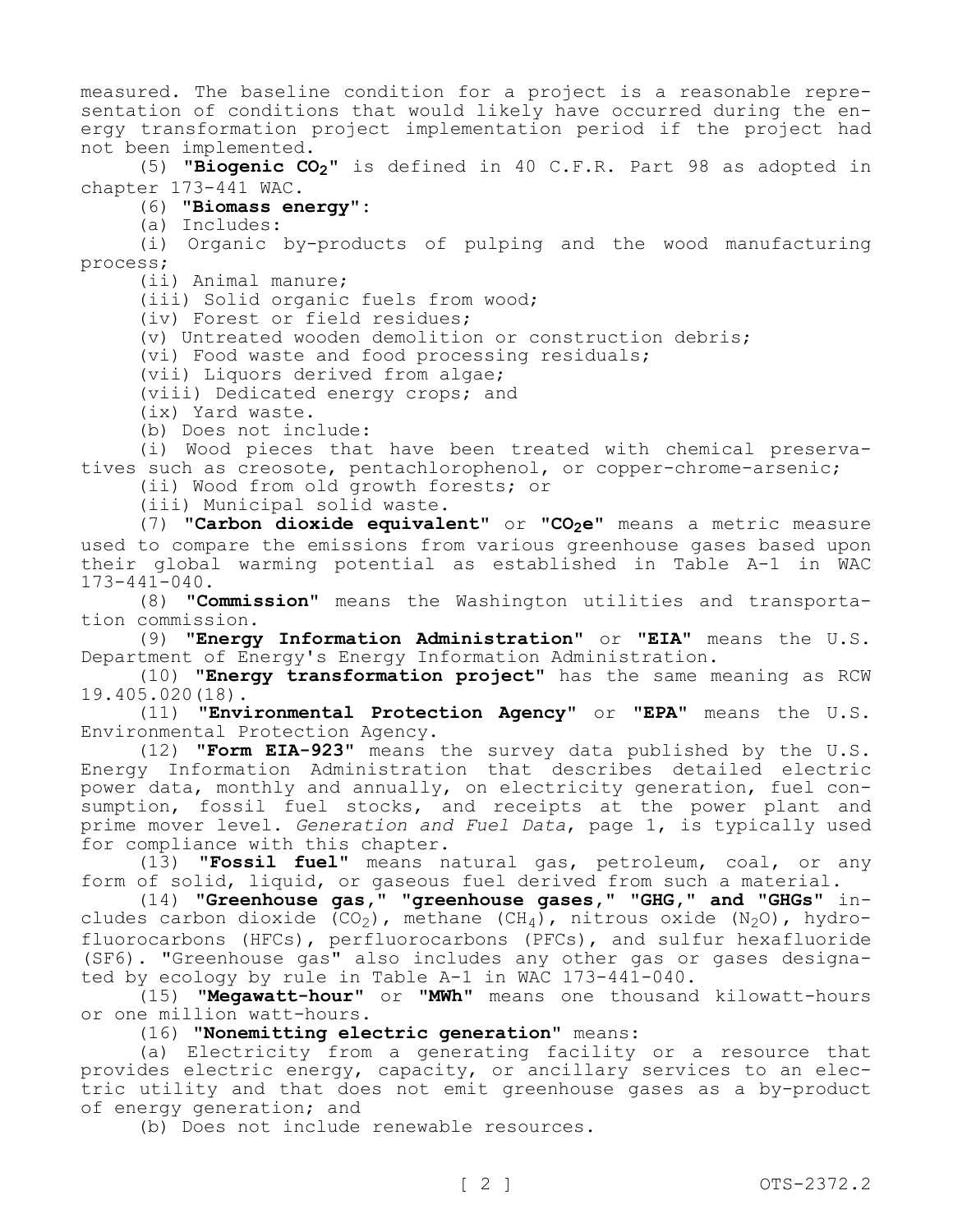measured. The baseline condition for a project is a reasonable representation of conditions that would likely have occurred during the energy transformation project implementation period if the project had not been implemented.

(5) **"Biogenic CO2"** is defined in 40 C.F.R. Part 98 as adopted in chapter 173-441 WAC.

# (6) **"Biomass energy":**

(a) Includes:

(i) Organic by-products of pulping and the wood manufacturing process;

(ii) Animal manure;

(iii) Solid organic fuels from wood;

(iv) Forest or field residues;

(v) Untreated wooden demolition or construction debris;

(vi) Food waste and food processing residuals;

(vii) Liquors derived from algae;

(viii) Dedicated energy crops; and

(ix) Yard waste.

(b) Does not include:

(i) Wood pieces that have been treated with chemical preservatives such as creosote, pentachlorophenol, or copper-chrome-arsenic;

(ii) Wood from old growth forests; or

(iii) Municipal solid waste.

(7) **"Carbon dioxide equivalent"** or **"CO2e"** means a metric measure used to compare the emissions from various greenhouse gases based upon their global warming potential as established in Table A-1 in WAC 173-441-040.

(8) **"Commission"** means the Washington utilities and transportation commission.

(9) **"Energy Information Administration"** or **"EIA"** means the U.S. Department of Energy's Energy Information Administration.

(10) **"Energy transformation project"** has the same meaning as RCW 19.405.020(18).

(11) **"Environmental Protection Agency"** or **"EPA"** means the U.S. Environmental Protection Agency.

(12) **"Form EIA-923"** means the survey data published by the U.S. Energy Information Administration that describes detailed electric power data, monthly and annually, on electricity generation, fuel consumption, fossil fuel stocks, and receipts at the power plant and prime mover level. *Generation and Fuel Data*, page 1, is typically used for compliance with this chapter.

(13) **"Fossil fuel"** means natural gas, petroleum, coal, or any form of solid, liquid, or gaseous fuel derived from such a material.

(14) **"Greenhouse gas," "greenhouse gases," "GHG," and "GHGs"** includes carbon dioxide  $(CO_2)$ , methane (CH<sub>4</sub>), nitrous oxide (N<sub>2</sub>O), hydrofluorocarbons (HFCs), perfluorocarbons (PFCs), and sulfur hexafluoride (SF6). "Greenhouse gas" also includes any other gas or gases designated by ecology by rule in Table A-1 in WAC 173-441-040.

(15) **"Megawatt-hour"** or **"MWh"** means one thousand kilowatt-hours or one million watt-hours.

(16) **"Nonemitting electric generation"** means:

(a) Electricity from a generating facility or a resource that provides electric energy, capacity, or ancillary services to an electric utility and that does not emit greenhouse gases as a by-product of energy generation; and

(b) Does not include renewable resources.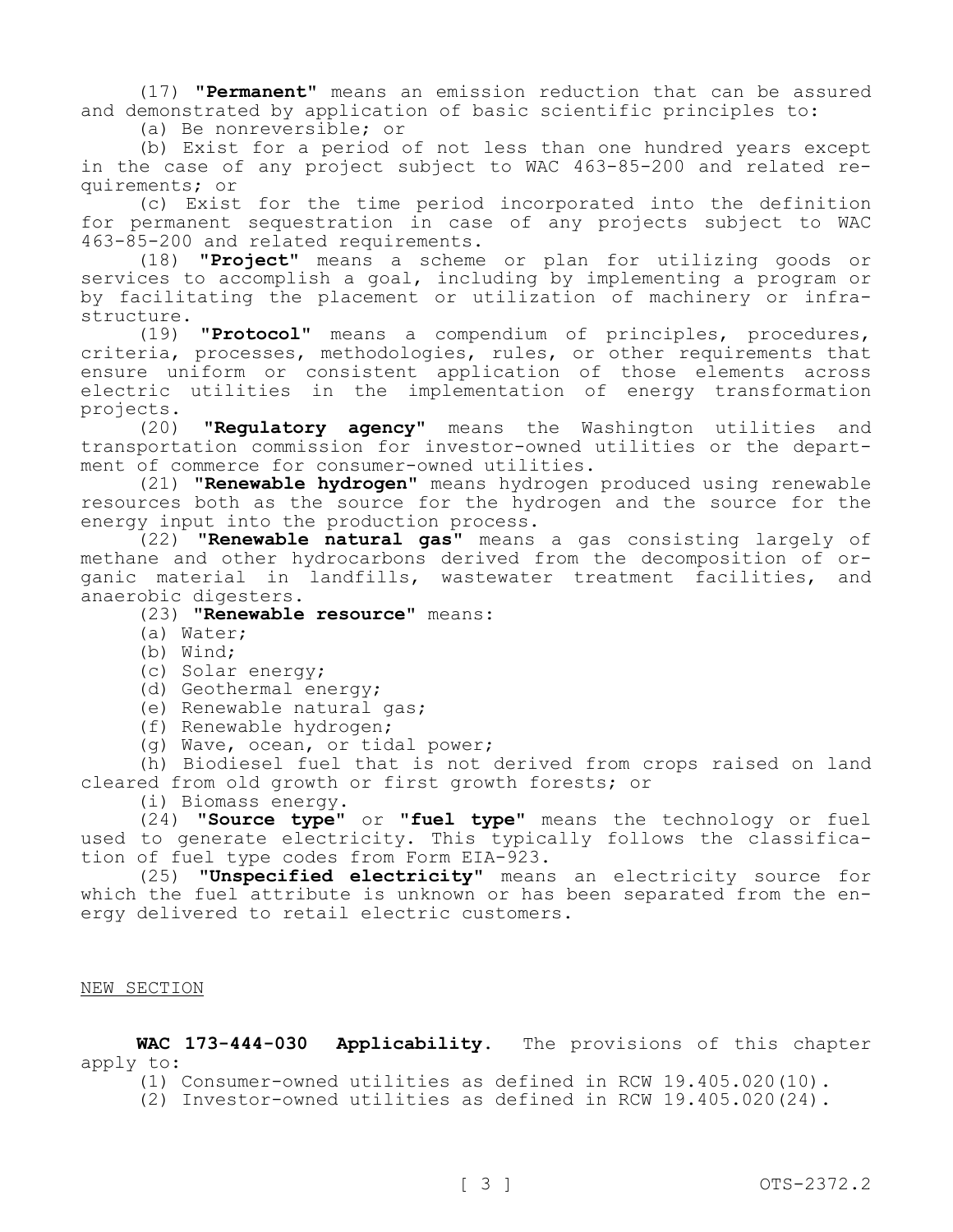(17) **"Permanent"** means an emission reduction that can be assured and demonstrated by application of basic scientific principles to:

(a) Be nonreversible; or

(b) Exist for a period of not less than one hundred years except in the case of any project subject to WAC 463-85-200 and related requirements; or

(c) Exist for the time period incorporated into the definition for permanent sequestration in case of any projects subject to WAC 463-85-200 and related requirements.

(18) **"Project"** means a scheme or plan for utilizing goods or services to accomplish a goal, including by implementing a program or by facilitating the placement or utilization of machinery or infrastructure.

(19) **"Protocol"** means a compendium of principles, procedures, criteria, processes, methodologies, rules, or other requirements that ensure uniform or consistent application of those elements across electric utilities in the implementation of energy transformation projects.<br>(20)

"Regulatory agency" means the Washington utilities and transportation commission for investor-owned utilities or the department of commerce for consumer-owned utilities.

(21) **"Renewable hydrogen"** means hydrogen produced using renewable resources both as the source for the hydrogen and the source for the energy input into the production process.

(22) **"Renewable natural gas"** means a gas consisting largely of methane and other hydrocarbons derived from the decomposition of organic material in landfills, wastewater treatment facilities, and anaerobic digesters.

(23) **"Renewable resource"** means:

- (a) Water;
- (b) Wind;
- (c) Solar energy;
- (d) Geothermal energy;
- (e) Renewable natural gas;
- (f) Renewable hydrogen;
- (g) Wave, ocean, or tidal power;

(h) Biodiesel fuel that is not derived from crops raised on land cleared from old growth or first growth forests; or

(i) Biomass energy.

(24) **"Source type"** or **"fuel type"** means the technology or fuel used to generate electricity. This typically follows the classification of fuel type codes from Form EIA-923.

(25) **"Unspecified electricity"** means an electricity source for which the fuel attribute is unknown or has been separated from the energy delivered to retail electric customers.

# NEW SECTION

**WAC 173-444-030 Applicability.** The provisions of this chapter apply to:

(1) Consumer-owned utilities as defined in RCW 19.405.020(10).

(2) Investor-owned utilities as defined in RCW 19.405.020(24).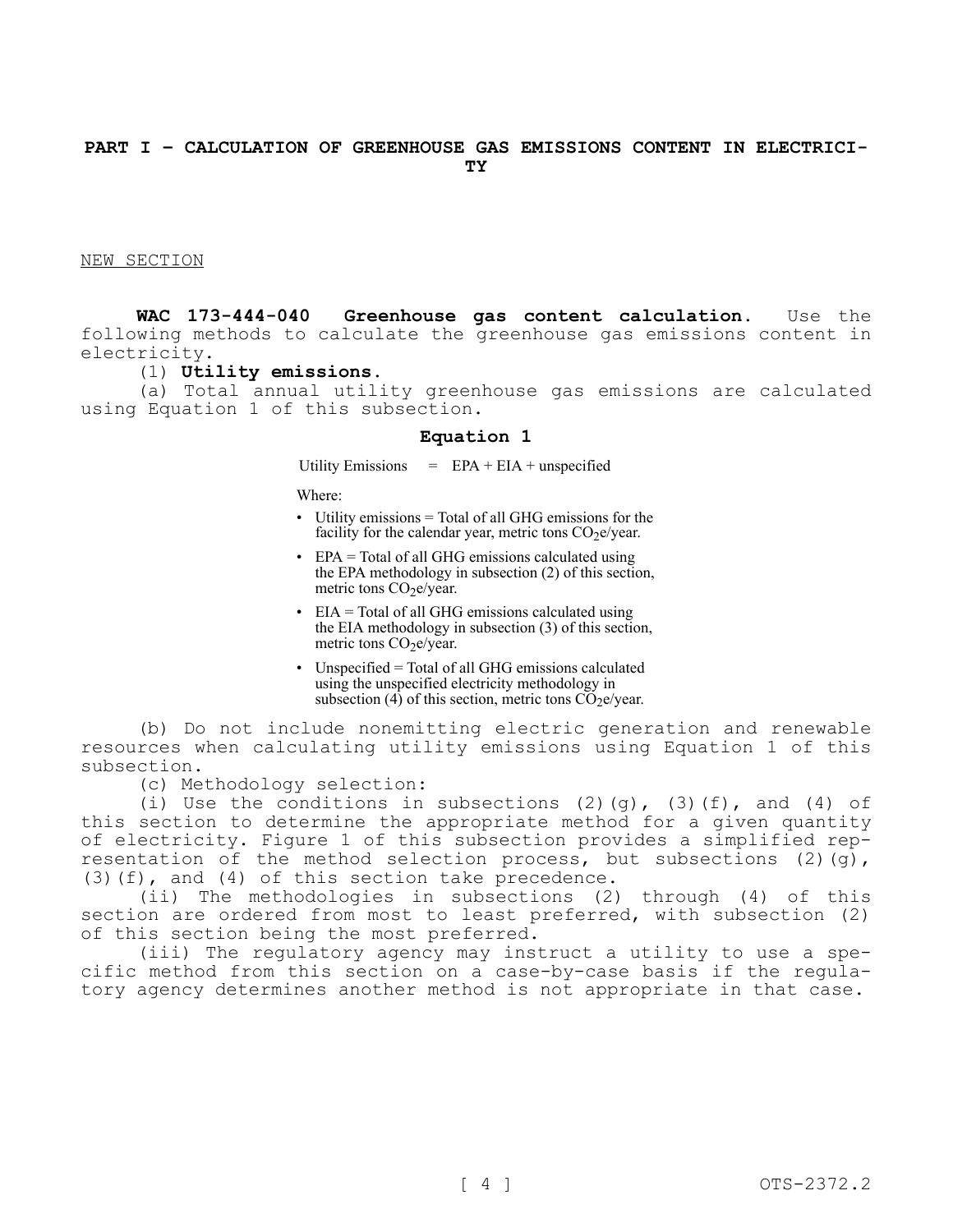## **PART I – CALCULATION OF GREENHOUSE GAS EMISSIONS CONTENT IN ELECTRICI-TY**

NEW SECTION

**WAC 173-444-040 Greenhouse gas content calculation.** Use the following methods to calculate the greenhouse gas emissions content in electricity.

## (1) **Utility emissions.**

(a) Total annual utility greenhouse gas emissions are calculated using Equation 1 of this subsection.

### **Equation 1**

Utility Emissions  $=$  EPA + EIA + unspecified

Where:

- Utility emissions = Total of all GHG emissions for the facility for the calendar year, metric tons  $CO<sub>2</sub>e/year$ .
- EPA = Total of all GHG emissions calculated using the EPA methodology in subsection (2) of this section, metric tons CO<sub>2</sub>e/year.
- EIA = Total of all GHG emissions calculated using the EIA methodology in subsection (3) of this section, metric tons  $CO<sub>2</sub>e/year$ .
- Unspecified = Total of all GHG emissions calculated using the unspecified electricity methodology in subsection  $(4)$  of this section, metric tons  $\overrightarrow{CO}_2e/year$ .

(b) Do not include nonemitting electric generation and renewable resources when calculating utility emissions using Equation 1 of this subsection.

(c) Methodology selection:

(i) Use the conditions in subsections (2)(q), (3)(f), and (4) of this section to determine the appropriate method for a given quantity of electricity. Figure 1 of this subsection provides a simplified representation of the method selection process, but subsections (2)(g), (3)(f), and (4) of this section take precedence.

(ii) The methodologies in subsections (2) through (4) of this section are ordered from most to least preferred, with subsection (2) of this section being the most preferred.

(iii) The regulatory agency may instruct a utility to use a specific method from this section on a case-by-case basis if the regulatory agency determines another method is not appropriate in that case.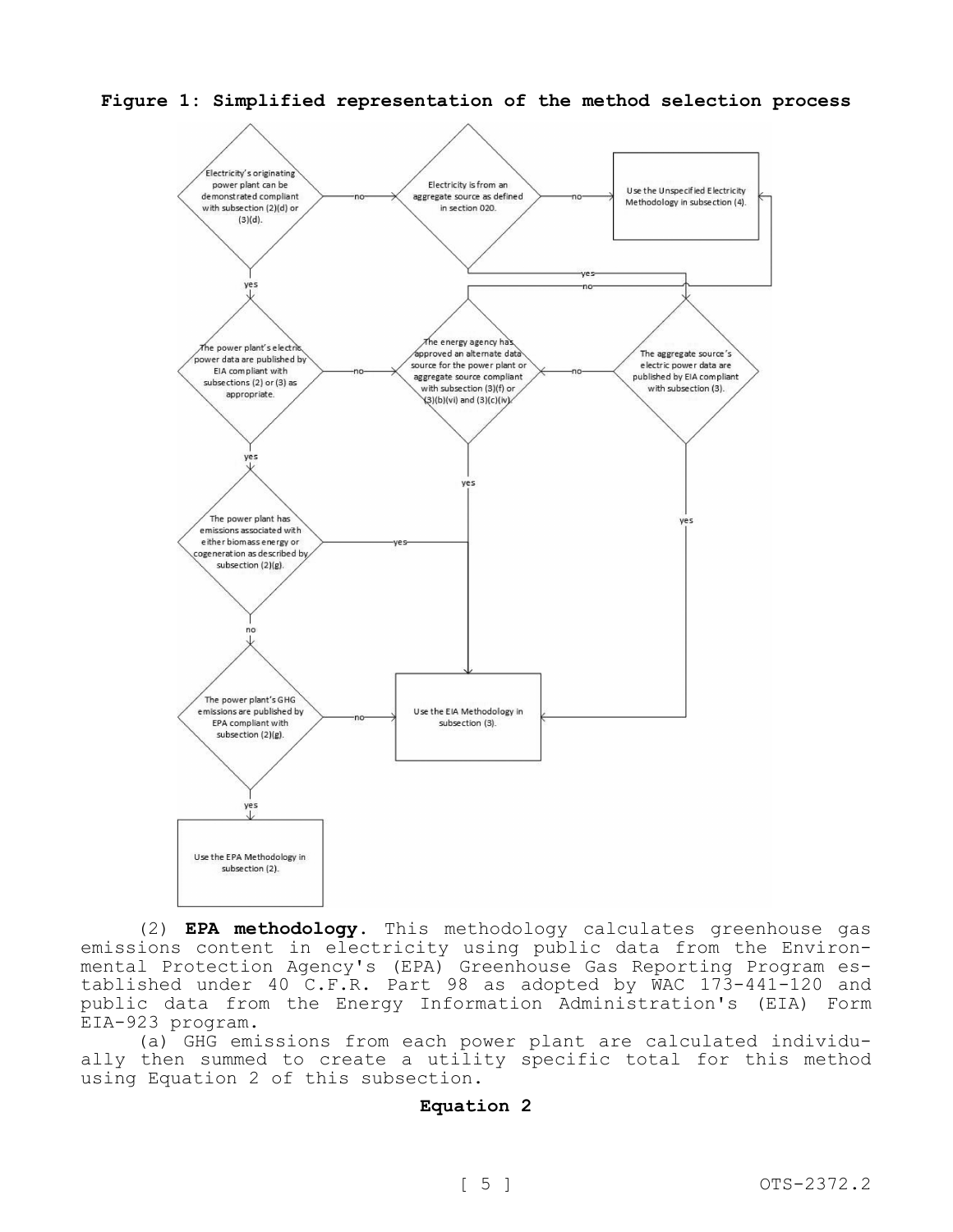**Figure 1: Simplified representation of the method selection process**



(2) **EPA methodology.** This methodology calculates greenhouse gas emissions content in electricity using public data from the Environmental Protection Agency's (EPA) Greenhouse Gas Reporting Program established under 40 C.F.R. Part 98 as adopted by WAC 173-441-120 and public data from the Energy Information Administration's (EIA) Form EIA-923 program.

(a) GHG emissions from each power plant are calculated individually then summed to create a utility specific total for this method using Equation 2 of this subsection.

# **Equation 2**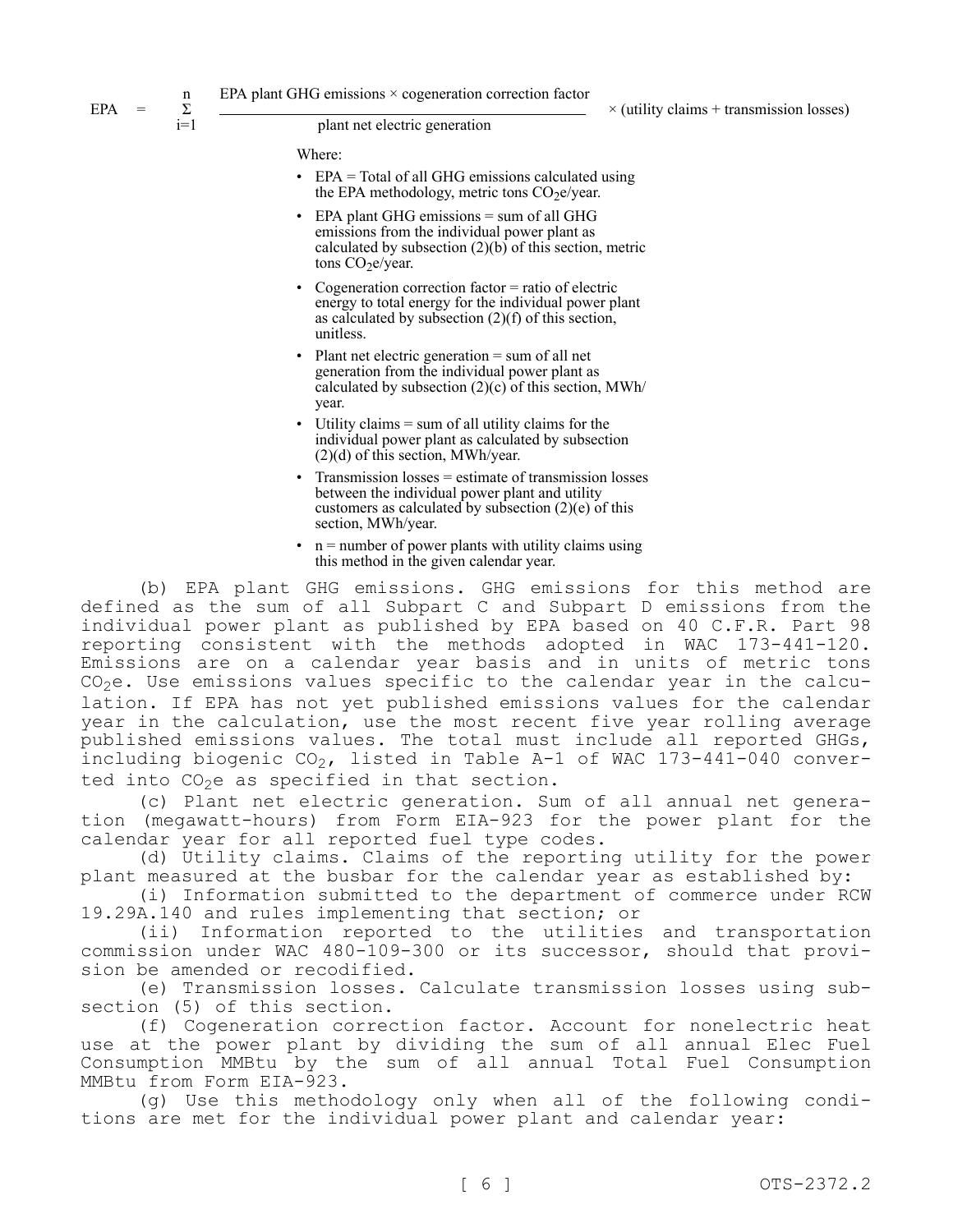$EPA =$ 

n Σ  $i=1$ 

 $\times$  (utility claims + transmission losses)

plant net electric generation

Where:

- EPA = Total of all GHG emissions calculated using the EPA methodology, metric tons  $CO<sub>2</sub>e/year$ .
- EPA plant GHG emissions  $=$  sum of all GHG emissions from the individual power plant as calculated by subsection  $(2)(b)$  of this section, metric tons CO<sub>2</sub>e/year.
- Cogeneration correction factor  $=$  ratio of electric energy to total energy for the individual power plant as calculated by subsection (2)(f) of this section, unitless.
- Plant net electric generation  $=$  sum of all net generation from the individual power plant as calculated by subsection  $(2)(c)$  of this section, MWh/ year.
- Utility claims  $=$  sum of all utility claims for the individual power plant as calculated by subsection (2)(d) of this section, MWh/year.
- Transmission losses = estimate of transmission losses between the individual power plant and utility customers as calculated by subsection  $(2)(e)$  of this section, MWh/year.
- $n =$  number of power plants with utility claims using this method in the given calendar year.

(b) EPA plant GHG emissions. GHG emissions for this method are defined as the sum of all Subpart C and Subpart D emissions from the individual power plant as published by EPA based on 40 C.F.R. Part 98 reporting consistent with the methods adopted in WAC 173-441-120. Emissions are on a calendar year basis and in units of metric tons  $CO<sub>2</sub>e$ . Use emissions values specific to the calendar year in the calculation. If EPA has not yet published emissions values for the calendar year in the calculation, use the most recent five year rolling average published emissions values. The total must include all reported GHGs, including biogenic  $CO<sub>2</sub>$ , listed in Table A-1 of WAC 173-441-040 converted into  $CO<sub>2</sub>e$  as specified in that section.

(c) Plant net electric generation. Sum of all annual net generation (megawatt-hours) from Form EIA-923 for the power plant for the calendar year for all reported fuel type codes.

(d) Utility claims. Claims of the reporting utility for the power plant measured at the busbar for the calendar year as established by:

(i) Information submitted to the department of commerce under RCW 19.29A.140 and rules implementing that section; or

(ii) Information reported to the utilities and transportation commission under WAC 480-109-300 or its successor, should that provision be amended or recodified.

(e) Transmission losses. Calculate transmission losses using subsection (5) of this section.

(f) Cogeneration correction factor. Account for nonelectric heat use at the power plant by dividing the sum of all annual Elec Fuel Consumption MMBtu by the sum of all annual Total Fuel Consumption MMBtu from Form EIA-923.

(g) Use this methodology only when all of the following conditions are met for the individual power plant and calendar year: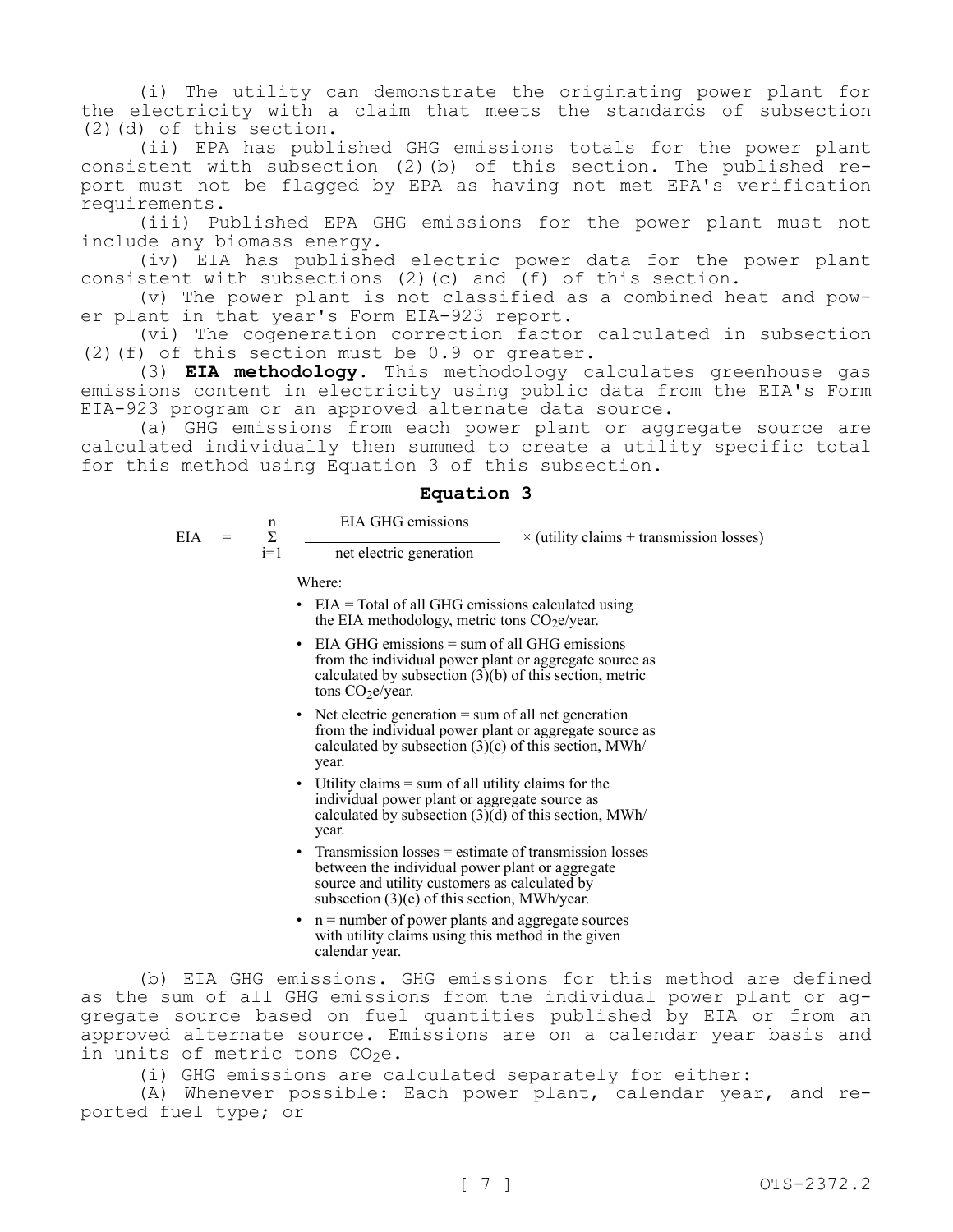(i) The utility can demonstrate the originating power plant for the electricity with a claim that meets the standards of subsection (2)(d) of this section.

(ii) EPA has published GHG emissions totals for the power plant consistent with subsection (2)(b) of this section. The published report must not be flagged by EPA as having not met EPA's verification requirements.

(iii) Published EPA GHG emissions for the power plant must not include any biomass energy.

(iv) EIA has published electric power data for the power plant consistent with subsections (2)(c) and (f) of this section.

(v) The power plant is not classified as a combined heat and power plant in that year's Form EIA-923 report.

(vi) The cogeneration correction factor calculated in subsection (2)(f) of this section must be 0.9 or greater.

(3) **EIA methodology.** This methodology calculates greenhouse gas emissions content in electricity using public data from the EIA's Form EIA-923 program or an approved alternate data source.

(a) GHG emissions from each power plant or aggregate source are calculated individually then summed to create a utility specific total for this method using Equation 3 of this subsection.

## **Equation 3**

net electric generation

EIA GHG emissions

 $\times$  (utility claims + transmission losses)

Where:

n Σ  $i=1$ 

- $\cdot$  EIA = Total of all GHG emissions calculated using the EIA methodology, metric tons  $CO<sub>2</sub>e/year$ .
- $\cdot$  EIA GHG emissions = sum of all GHG emissions from the individual power plant or aggregate source as calculated by subsection  $(3)(b)$  of this section, metric tons CO<sub>2</sub>e/year.
- Net electric generation  $=$  sum of all net generation from the individual power plant or aggregate source as calculated by subsection  $(3)(c)$  of this section, MWh/ year.
- Utility claims  $=$  sum of all utility claims for the individual power plant or aggregate source as calculated by subsection  $(3)(d)$  of this section, MWh/ year.
- Transmission losses = estimate of transmission losses between the individual power plant or aggregate source and utility customers as calculated by subsection (3)(e) of this section, MWh/year.
- $n =$  number of power plants and aggregate sources with utility claims using this method in the given calendar year.

(b) EIA GHG emissions. GHG emissions for this method are defined as the sum of all GHG emissions from the individual power plant or aggregate source based on fuel quantities published by EIA or from an approved alternate source. Emissions are on a calendar year basis and in units of metric tons  $CO<sub>2</sub>e$ .

(i) GHG emissions are calculated separately for either:

(A) Whenever possible: Each power plant, calendar year, and reported fuel type; or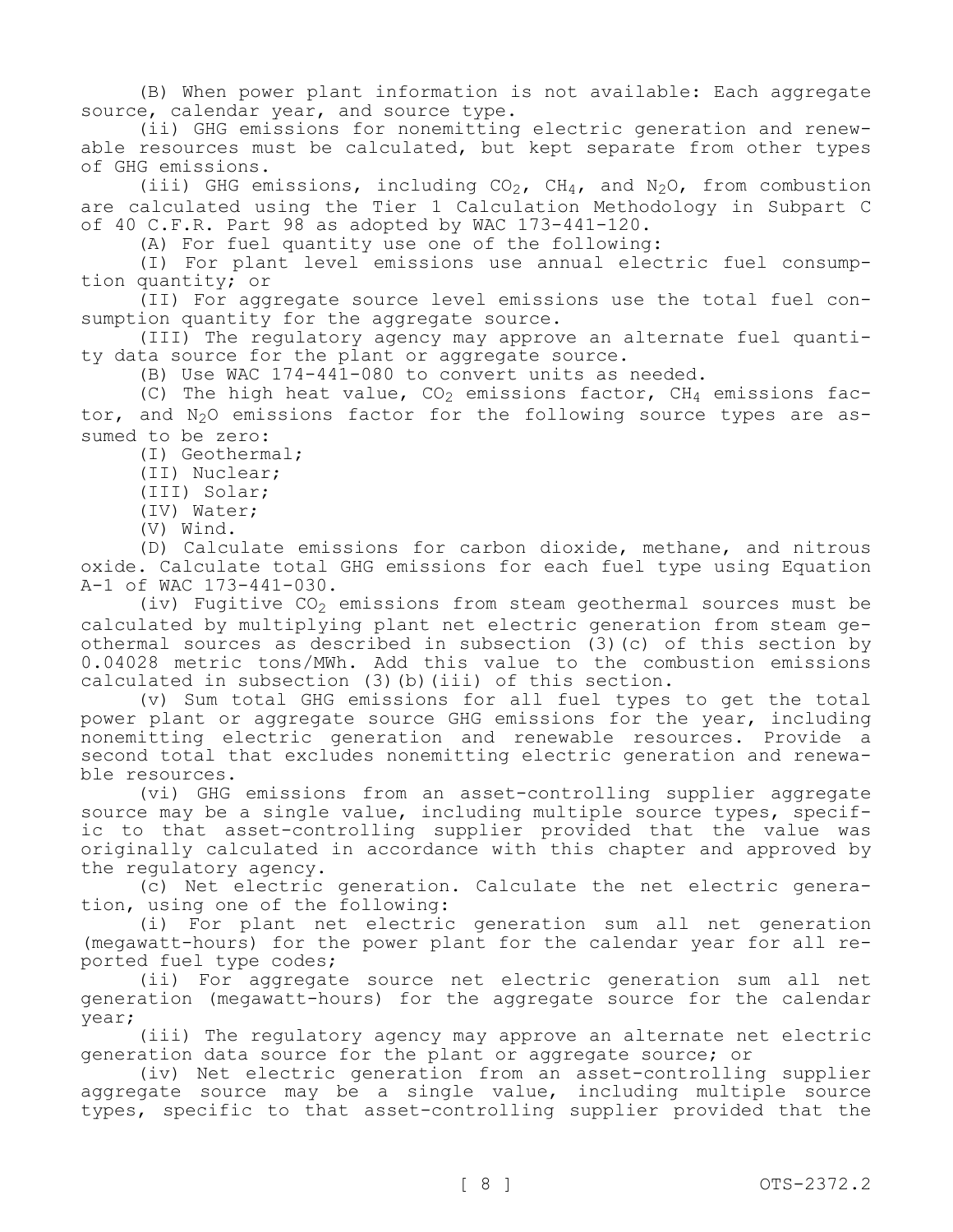(B) When power plant information is not available: Each aggregate source, calendar year, and source type.

(ii) GHG emissions for nonemitting electric generation and renewable resources must be calculated, but kept separate from other types of GHG emissions.

(iii) GHG emissions, including  $CO_2$ , CH<sub>4</sub>, and N<sub>2</sub>O, from combustion are calculated using the Tier 1 Calculation Methodology in Subpart C of 40 C.F.R. Part 98 as adopted by WAC 173-441-120.

(A) For fuel quantity use one of the following:

(I) For plant level emissions use annual electric fuel consumption quantity; or

(II) For aggregate source level emissions use the total fuel consumption quantity for the aggregate source.

(III) The regulatory agency may approve an alternate fuel quantity data source for the plant or aggregate source.

(B) Use WAC 174-441-080 to convert units as needed.

(C) The high heat value,  $CO_2$  emissions factor,  $CH_4$  emissions factor, and  $N_2O$  emissions factor for the following source types are assumed to be zero:

(I) Geothermal;

(II) Nuclear;

(III) Solar;

(IV) Water;

(V) Wind.

(D) Calculate emissions for carbon dioxide, methane, and nitrous oxide. Calculate total GHG emissions for each fuel type using Equation A-1 of WAC 173-441-030.

(iv) Fugitive  $CO<sub>2</sub>$  emissions from steam geothermal sources must be calculated by multiplying plant net electric generation from steam geothermal sources as described in subsection (3)(c) of this section by 0.04028 metric tons/MWh. Add this value to the combustion emissions calculated in subsection (3)(b)(iii) of this section.

(v) Sum total GHG emissions for all fuel types to get the total power plant or aggregate source GHG emissions for the year, including nonemitting electric generation and renewable resources. Provide a second total that excludes nonemitting electric generation and renewable resources.

(vi) GHG emissions from an asset-controlling supplier aggregate source may be a single value, including multiple source types, specific to that asset-controlling supplier provided that the value was originally calculated in accordance with this chapter and approved by the regulatory agency.

(c) Net electric generation. Calculate the net electric generation, using one of the following:

(i) For plant net electric generation sum all net generation (megawatt-hours) for the power plant for the calendar year for all reported fuel type codes;

(ii) For aggregate source net electric generation sum all net generation (megawatt-hours) for the aggregate source for the calendar year;

(iii) The regulatory agency may approve an alternate net electric generation data source for the plant or aggregate source; or

(iv) Net electric generation from an asset-controlling supplier aggregate source may be a single value, including multiple source types, specific to that asset-controlling supplier provided that the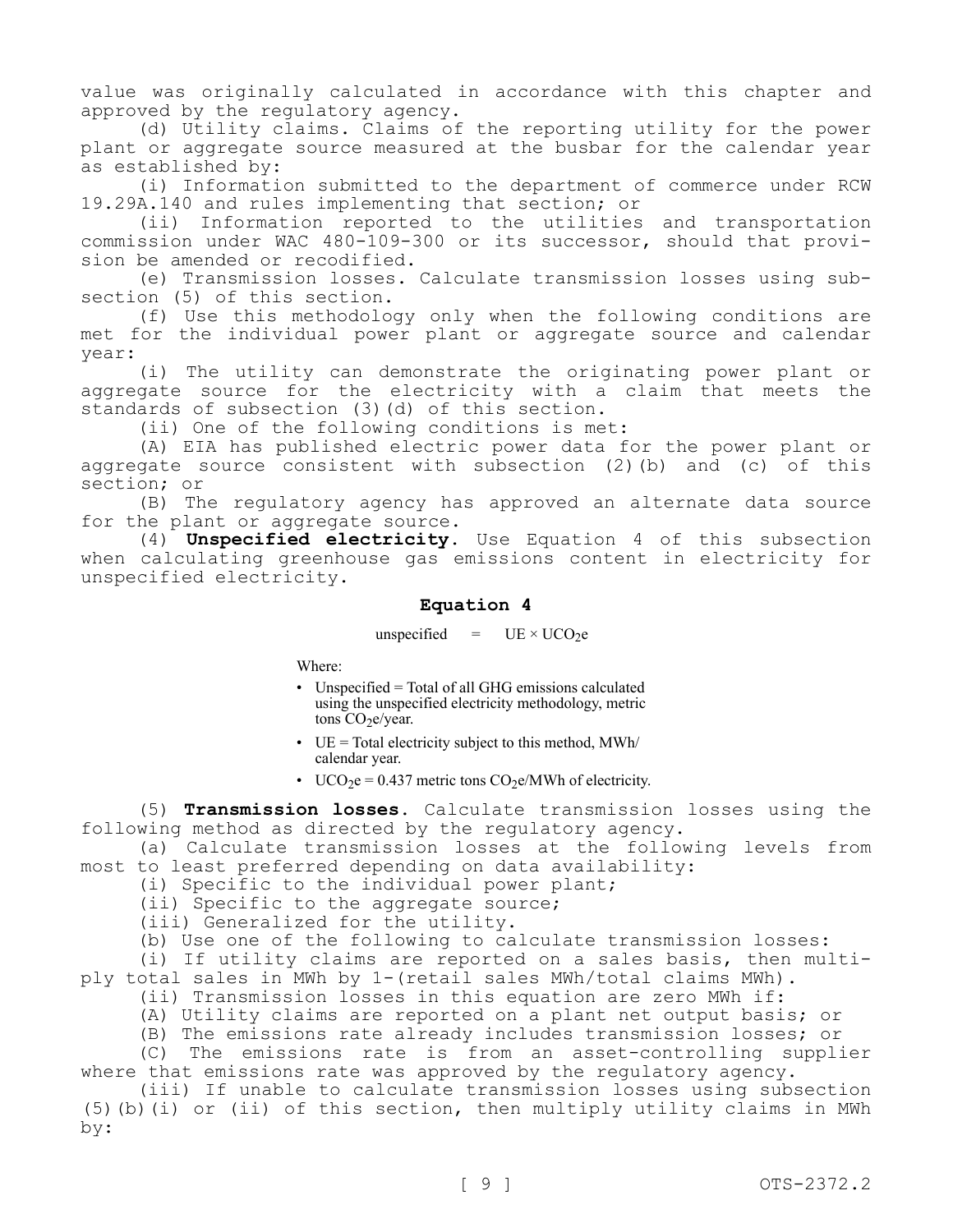value was originally calculated in accordance with this chapter and approved by the regulatory agency.

(d) Utility claims. Claims of the reporting utility for the power plant or aggregate source measured at the busbar for the calendar year as established by:

(i) Information submitted to the department of commerce under RCW 19.29A.140 and rules implementing that section; or

(ii) Information reported to the utilities and transportation commission under WAC 480-109-300 or its successor, should that provision be amended or recodified.

(e) Transmission losses. Calculate transmission losses using subsection (5) of this section.

(f) Use this methodology only when the following conditions are met for the individual power plant or aggregate source and calendar year:

(i) The utility can demonstrate the originating power plant or aggregate source for the electricity with a claim that meets the standards of subsection (3)(d) of this section.

(ii) One of the following conditions is met:

(A) EIA has published electric power data for the power plant or aggregate source consistent with subsection (2)(b) and (c) of this section; or

(B) The regulatory agency has approved an alternate data source for the plant or aggregate source.

(4) **Unspecified electricity.** Use Equation 4 of this subsection when calculating greenhouse gas emissions content in electricity for unspecified electricity.

# **Equation 4**

unspecified =  $UE \times UCO_2e$ 

Where:

- Unspecified = Total of all GHG emissions calculated using the unspecified electricity methodology, metric tons  $CO<sub>2</sub>e/year.$
- UE = Total electricity subject to this method,  $MWh/$ calendar year.
- UCO<sub>2</sub>e = 0.437 metric tons CO<sub>2</sub>e/MWh of electricity.

(5) **Transmission losses.** Calculate transmission losses using the following method as directed by the regulatory agency.

(a) Calculate transmission losses at the following levels from most to least preferred depending on data availability:

(i) Specific to the individual power plant;

(ii) Specific to the aggregate source;

(iii) Generalized for the utility.

(b) Use one of the following to calculate transmission losses:

(i) If utility claims are reported on a sales basis, then multiply total sales in MWh by 1-(retail sales MWh/total claims MWh).

(ii) Transmission losses in this equation are zero MWh if:

(A) Utility claims are reported on a plant net output basis; or

(B) The emissions rate already includes transmission losses; or

(C) The emissions rate is from an asset-controlling supplier where that emissions rate was approved by the requlatory agency.

(iii) If unable to calculate transmission losses using subsection (5)(b)(i) or (ii) of this section, then multiply utility claims in MWh by: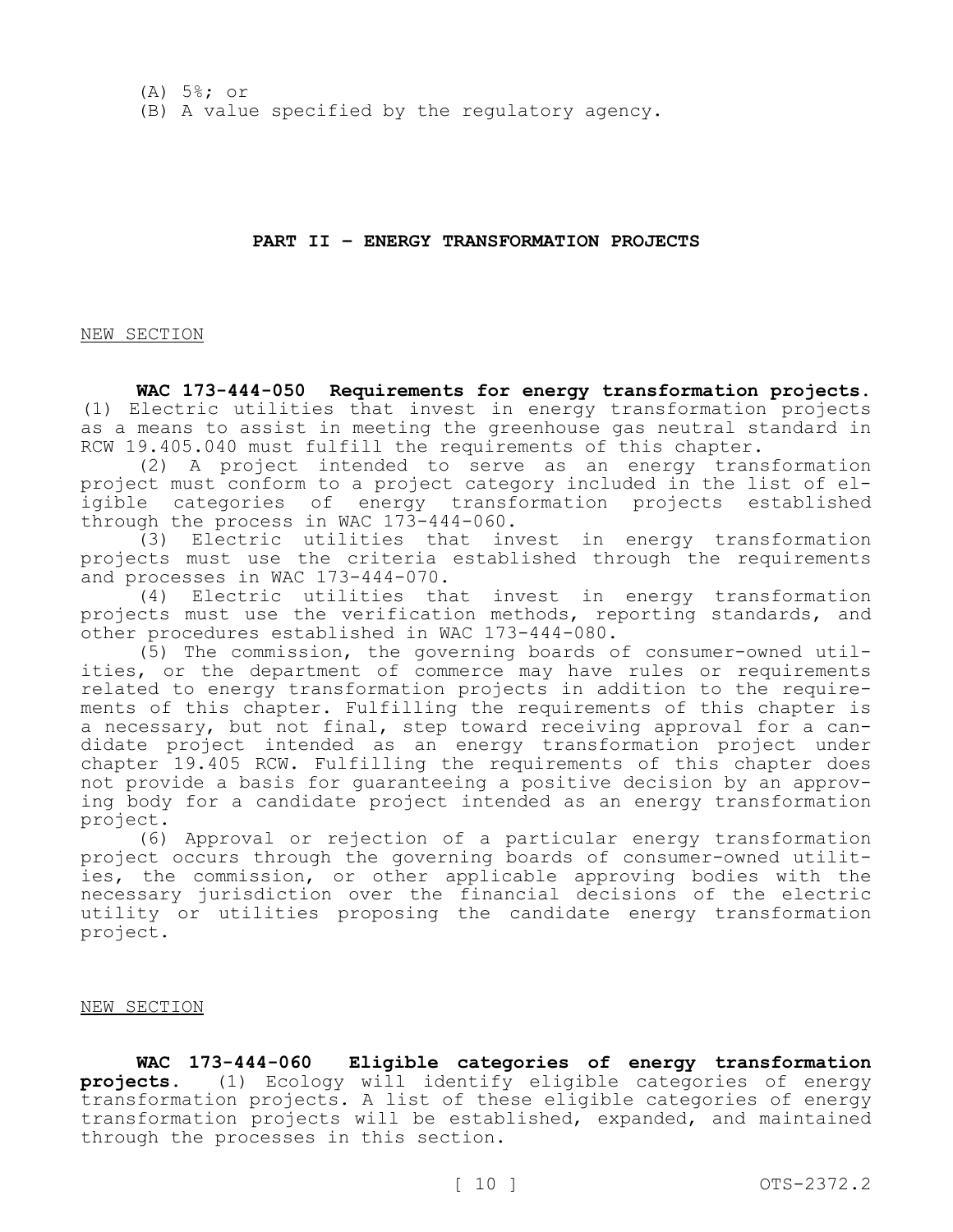## **PART II – ENERGY TRANSFORMATION PROJECTS**

#### NEW SECTION

**WAC 173-444-050 Requirements for energy transformation projects.**  (1) Electric utilities that invest in energy transformation projects as a means to assist in meeting the greenhouse gas neutral standard in RCW 19.405.040 must fulfill the requirements of this chapter.

(2) A project intended to serve as an energy transformation project must conform to a project category included in the list of eligible categories of energy transformation projects established through the process in WAC 173-444-060.

(3) Electric utilities that invest in energy transformation projects must use the criteria established through the requirements and processes in WAC 173-444-070.

(4) Electric utilities that invest in energy transformation projects must use the verification methods, reporting standards, and other procedures established in WAC 173-444-080.

(5) The commission, the governing boards of consumer-owned utilities, or the department of commerce may have rules or requirements related to energy transformation projects in addition to the requirements of this chapter. Fulfilling the requirements of this chapter is a necessary, but not final, step toward receiving approval for a candidate project intended as an energy transformation project under chapter 19.405 RCW. Fulfilling the requirements of this chapter does not provide a basis for guaranteeing a positive decision by an approving body for a candidate project intended as an energy transformation project.

(6) Approval or rejection of a particular energy transformation project occurs through the governing boards of consumer-owned utilities, the commission, or other applicable approving bodies with the necessary jurisdiction over the financial decisions of the electric utility or utilities proposing the candidate energy transformation project.

NEW SECTION

**WAC 173-444-060 Eligible categories of energy transformation projects.** (1) Ecology will identify eligible categories of energy transformation projects. A list of these eligible categories of energy transformation projects will be established, expanded, and maintained through the processes in this section.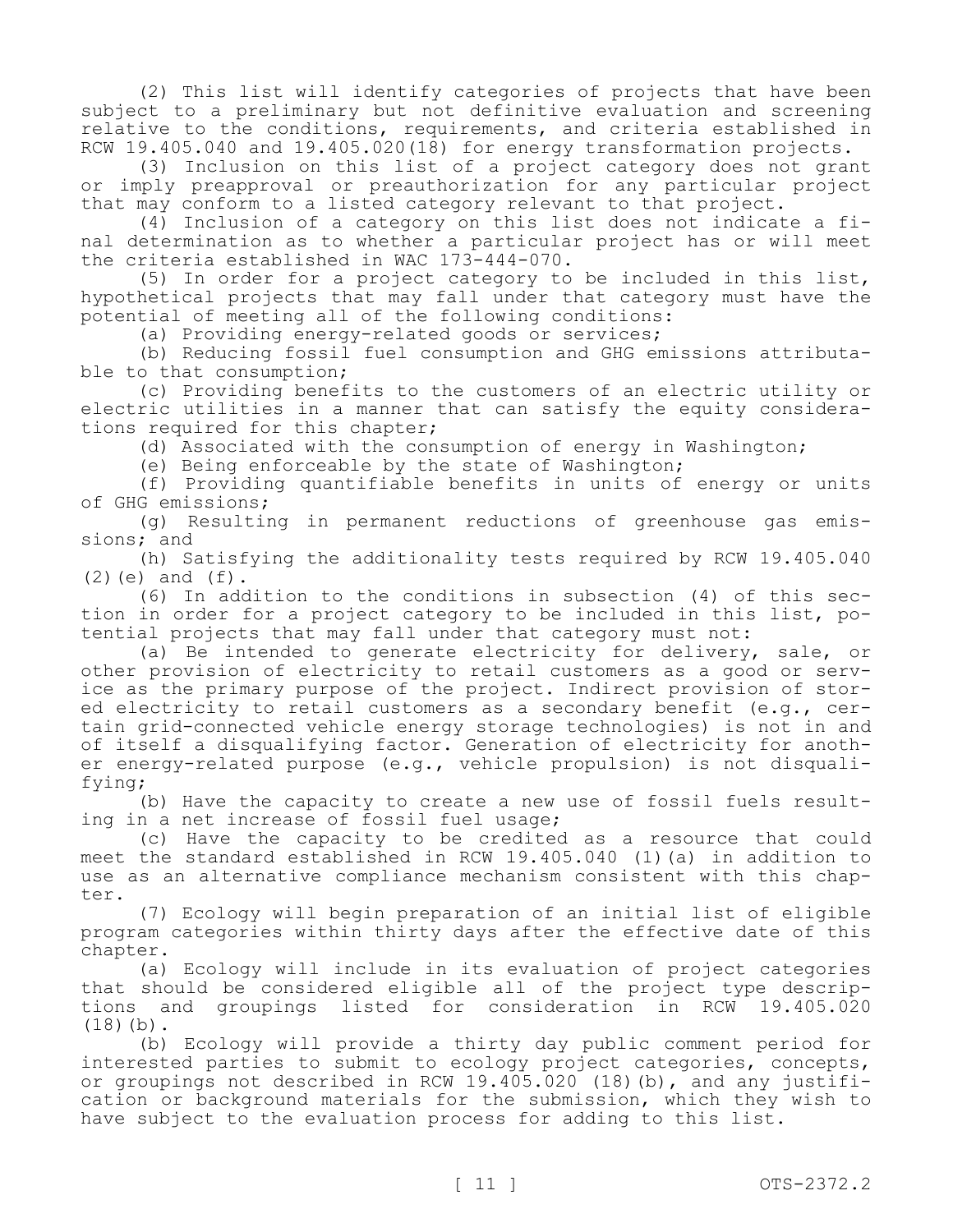(2) This list will identify categories of projects that have been subject to a preliminary but not definitive evaluation and screening relative to the conditions, requirements, and criteria established in RCW  $19.405.040$  and  $19.405.020(18)$  for energy transformation projects.

(3) Inclusion on this list of a project category does not grant or imply preapproval or preauthorization for any particular project that may conform to a listed category relevant to that project.

(4) Inclusion of a category on this list does not indicate a final determination as to whether a particular project has or will meet the criteria established in WAC 173-444-070.

(5) In order for a project category to be included in this list, hypothetical projects that may fall under that category must have the potential of meeting all of the following conditions:

(a) Providing energy-related goods or services;

(b) Reducing fossil fuel consumption and GHG emissions attributable to that consumption;

(c) Providing benefits to the customers of an electric utility or electric utilities in a manner that can satisfy the equity considerations required for this chapter;

(d) Associated with the consumption of energy in Washington;

(e) Being enforceable by the state of Washington;

(f) Providing quantifiable benefits in units of energy or units of GHG emissions;

(g) Resulting in permanent reductions of greenhouse gas emissions; and

(h) Satisfying the additionality tests required by RCW 19.405.040  $(2)(e)$  and  $(f)$ .

(6) In addition to the conditions in subsection (4) of this section in order for a project category to be included in this list, potential projects that may fall under that category must not:

(a) Be intended to generate electricity for delivery, sale, or other provision of electricity to retail customers as a good or service as the primary purpose of the project. Indirect provision of stored electricity to retail customers as a secondary benefit (e.g., certain grid-connected vehicle energy storage technologies) is not in and of itself a disqualifying factor. Generation of electricity for another energy-related purpose (e.g., vehicle propulsion) is not disqualifying;

(b) Have the capacity to create a new use of fossil fuels resulting in a net increase of fossil fuel usage;

(c) Have the capacity to be credited as a resource that could meet the standard established in RCW 19.405.040 (1)(a) in addition to use as an alternative compliance mechanism consistent with this chapter.

(7) Ecology will begin preparation of an initial list of eligible program categories within thirty days after the effective date of this chapter.

(a) Ecology will include in its evaluation of project categories that should be considered eligible all of the project type descriptions and groupings listed for consideration in RCW 19.405.020  $(18)(b)$ .

(b) Ecology will provide a thirty day public comment period for interested parties to submit to ecology project categories, concepts, or groupings not described in RCW 19.405.020 (18)(b), and any justification or background materials for the submission, which they wish to have subject to the evaluation process for adding to this list.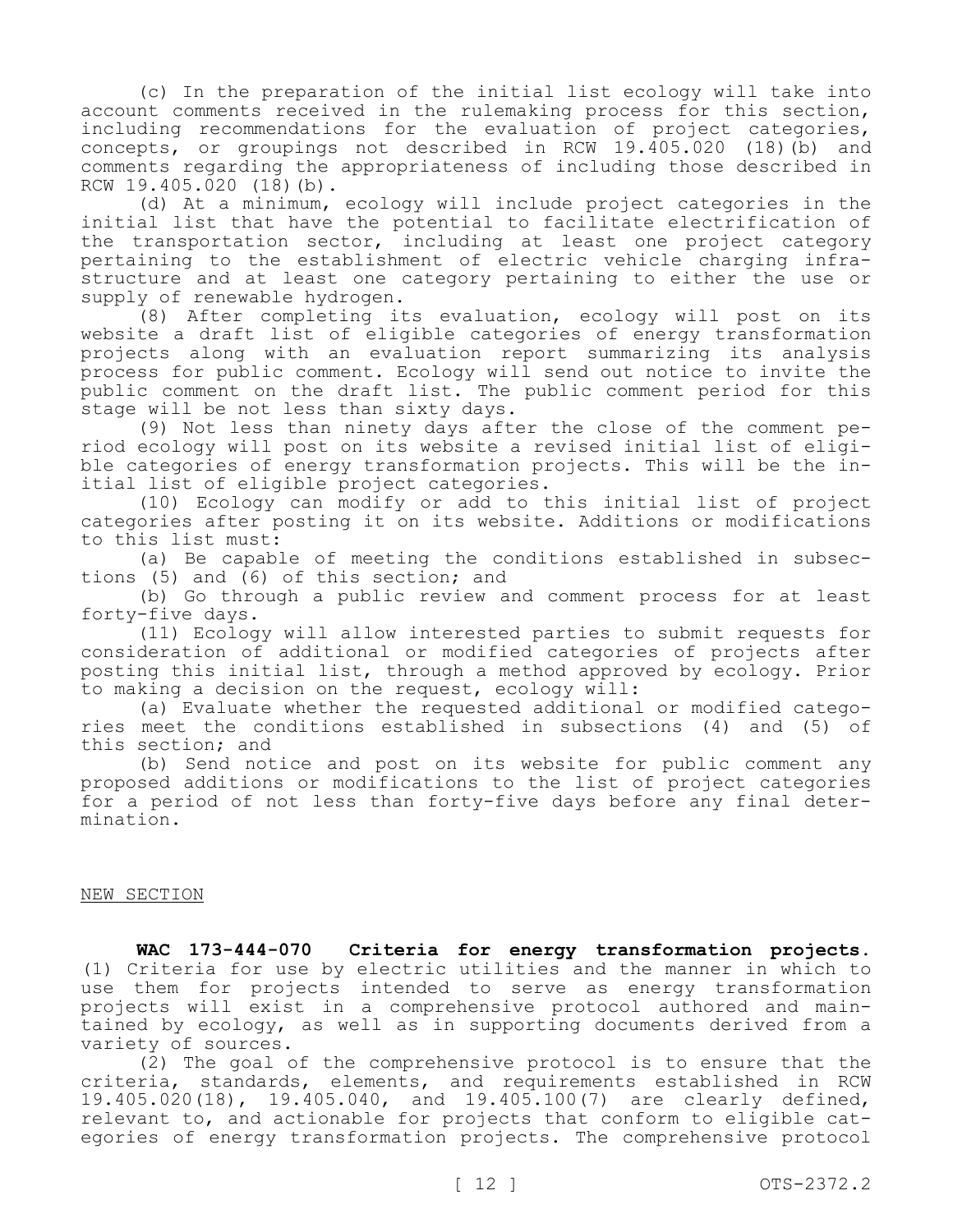(c) In the preparation of the initial list ecology will take into account comments received in the rulemaking process for this section, including recommendations for the evaluation of project categories, concepts, or groupings not described in RCW 19.405.020 (18)(b) and comments regarding the appropriateness of including those described in RCW 19.405.020 (18)(b).

(d) At a minimum, ecology will include project categories in the initial list that have the potential to facilitate electrification of the transportation sector, including at least one project category pertaining to the establishment of electric vehicle charging infrastructure and at least one category pertaining to either the use or supply of renewable hydrogen.

(8) After completing its evaluation, ecology will post on its website a draft list of eligible categories of energy transformation projects along with an evaluation report summarizing its analysis process for public comment. Ecology will send out notice to invite the public comment on the draft list. The public comment period for this stage will be not less than sixty days.

(9) Not less than ninety days after the close of the comment period ecology will post on its website a revised initial list of eligible categories of energy transformation projects. This will be the initial list of eligible project categories.

(10) Ecology can modify or add to this initial list of project categories after posting it on its website. Additions or modifications to this list must:

(a) Be capable of meeting the conditions established in subsections (5) and (6) of this section; and

(b) Go through a public review and comment process for at least forty-five days.

(11) Ecology will allow interested parties to submit requests for consideration of additional or modified categories of projects after posting this initial list, through a method approved by ecology. Prior to making a decision on the request, ecology will:

(a) Evaluate whether the requested additional or modified categories meet the conditions established in subsections (4) and (5) of this section; and

(b) Send notice and post on its website for public comment any proposed additions or modifications to the list of project categories for a period of not less than forty-five days before any final determination.

# NEW SECTION

**WAC 173-444-070 Criteria for energy transformation projects.**  (1) Criteria for use by electric utilities and the manner in which to use them for projects intended to serve as energy transformation projects will exist in a comprehensive protocol authored and maintained by ecology, as well as in supporting documents derived from a variety of sources.

(2) The goal of the comprehensive protocol is to ensure that the criteria, standards, elements, and requirements established in RCW 19.405.020(18), 19.405.040, and 19.405.100(7) are clearly defined, relevant to, and actionable for projects that conform to eligible categories of energy transformation projects. The comprehensive protocol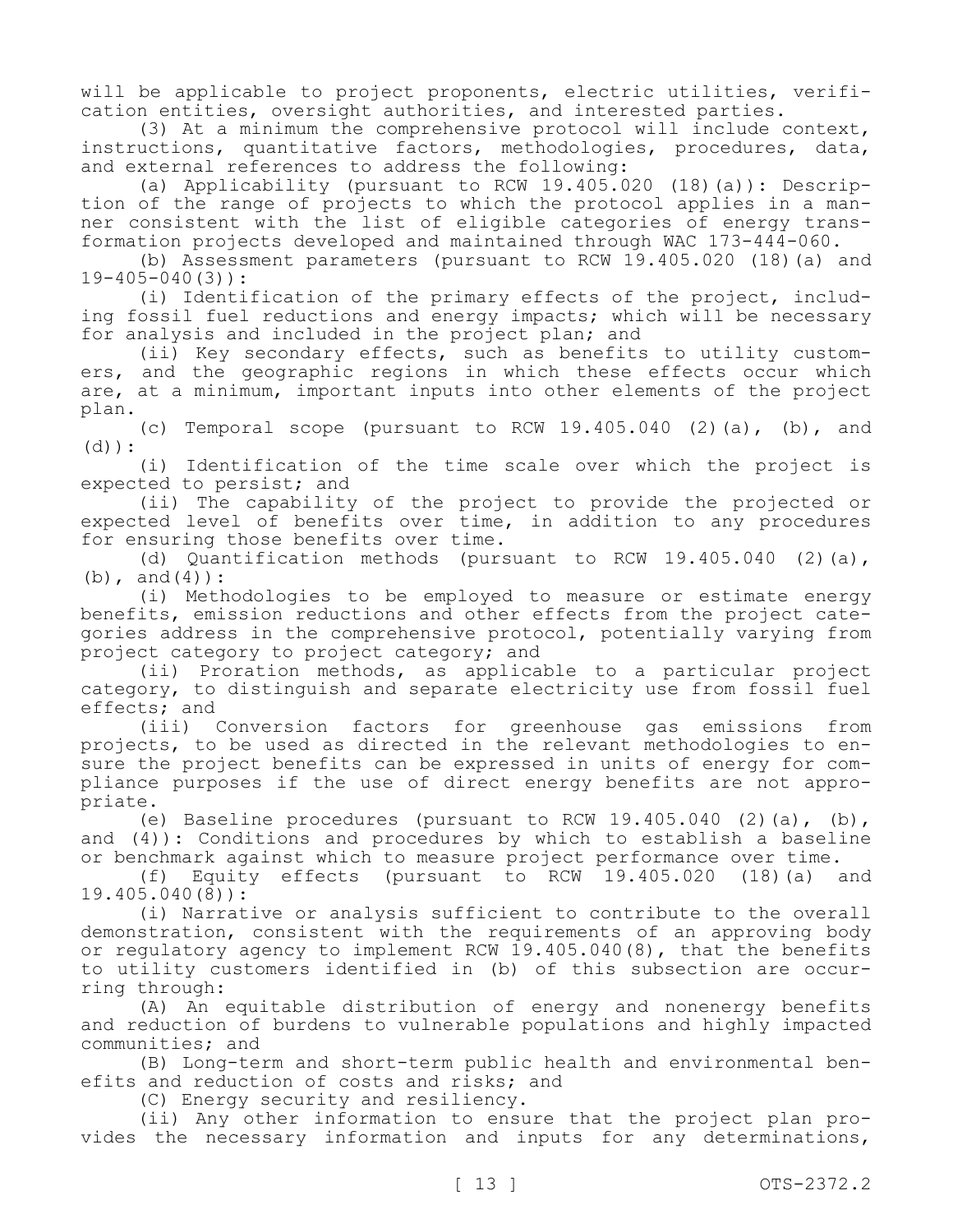will be applicable to project proponents, electric utilities, verification entities, oversight authorities, and interested parties.

(3) At a minimum the comprehensive protocol will include context, instructions, quantitative factors, methodologies, procedures, data, and external references to address the following:

(a) Applicability (pursuant to RCW 19.405.020 (18)(a)): Description of the range of projects to which the protocol applies in a manner consistent with the list of eligible categories of energy transformation projects developed and maintained through WAC 173-444-060.

(b) Assessment parameters (pursuant to RCW 19.405.020 (18)(a) and 19-405-040(3)):

(i) Identification of the primary effects of the project, including fossil fuel reductions and energy impacts; which will be necessary for analysis and included in the project plan; and

(ii) Key secondary effects, such as benefits to utility customers, and the geographic regions in which these effects occur which are, at a minimum, important inputs into other elements of the project plan.

(c) Temporal scope (pursuant to RCW 19.405.040 (2)(a), (b), and (d)):

(i) Identification of the time scale over which the project is expected to persist; and

(ii) The capability of the project to provide the projected or expected level of benefits over time, in addition to any procedures for ensuring those benefits over time.

(d) Quantification methods (pursuant to RCW 19.405.040 (2)(a),  $(b)$ , and  $(4)$ ):

(i) Methodologies to be employed to measure or estimate energy benefits, emission reductions and other effects from the project categories address in the comprehensive protocol, potentially varying from project category to project category; and

(ii) Proration methods, as applicable to a particular project category, to distinguish and separate electricity use from fossil fuel effects; and<br>(iii) (

Conversion factors for greenhouse gas emissions from projects, to be used as directed in the relevant methodologies to ensure the project benefits can be expressed in units of energy for compliance purposes if the use of direct energy benefits are not appropriate.

(e) Baseline procedures (pursuant to RCW  $19.405.040$  (2)(a), (b), and (4)): Conditions and procedures by which to establish a baseline or benchmark against which to measure project performance over time.

(f) Equity effects (pursuant to RCW 19.405.020 (18)(a) and 19.405.040(8)):

(i) Narrative or analysis sufficient to contribute to the overall demonstration, consistent with the requirements of an approving body or regulatory agency to implement RCW 19.405.040(8), that the benefits to utility customers identified in (b) of this subsection are occurring through:

(A) An equitable distribution of energy and nonenergy benefits and reduction of burdens to vulnerable populations and highly impacted communities; and

(B) Long-term and short-term public health and environmental benefits and reduction of costs and risks; and

(C) Energy security and resiliency.

(ii) Any other information to ensure that the project plan provides the necessary information and inputs for any determinations,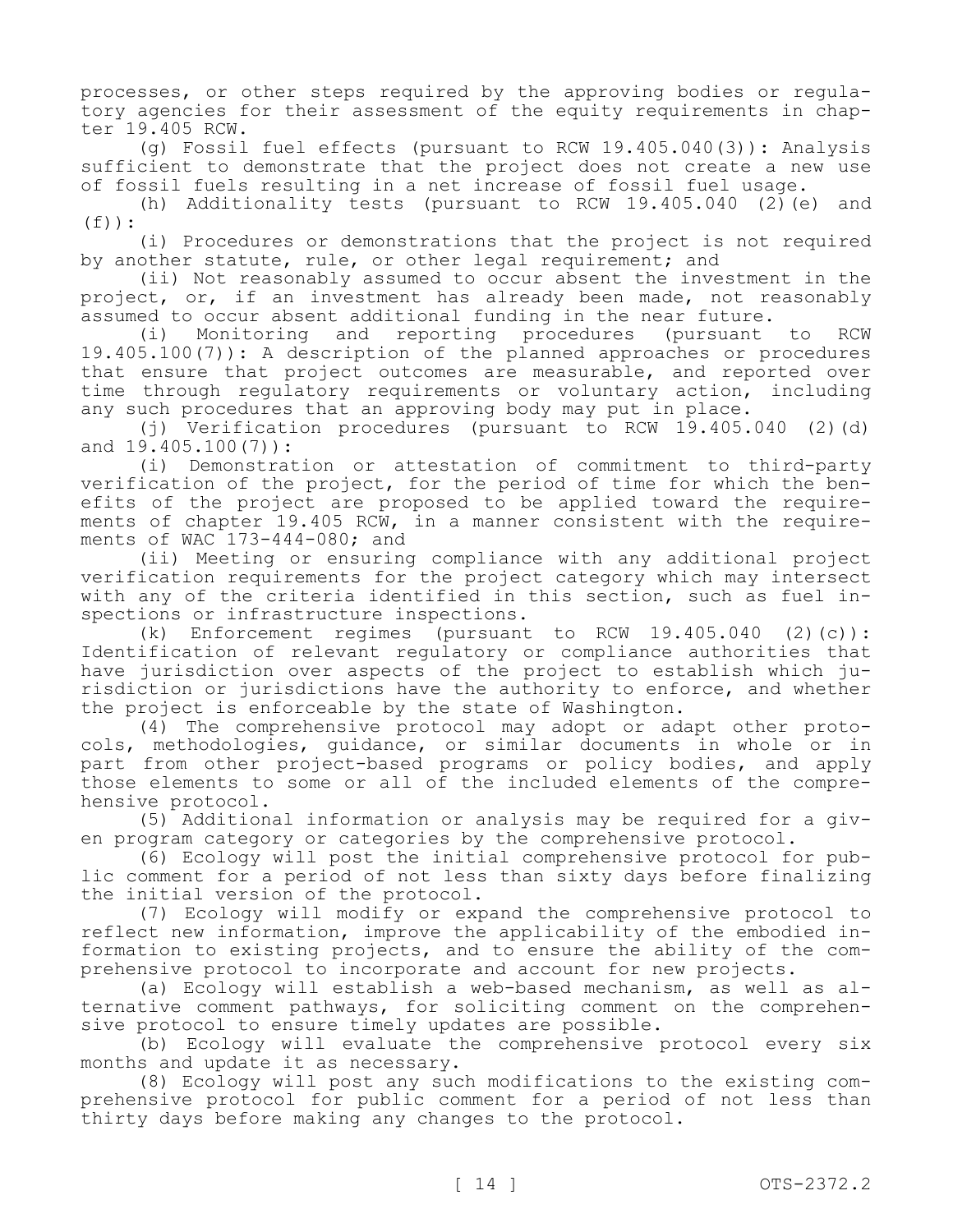processes, or other steps required by the approving bodies or regulatory agencies for their assessment of the equity requirements in chapter 19.405 RCW.

(g) Fossil fuel effects (pursuant to RCW 19.405.040(3)): Analysis sufficient to demonstrate that the project does not create a new use of fossil fuels resulting in a net increase of fossil fuel usage.

(h) Additionality tests (pursuant to RCW 19.405.040 (2)(e) and  $(f)$ ):

(i) Procedures or demonstrations that the project is not required by another statute, rule, or other legal requirement; and

(ii) Not reasonably assumed to occur absent the investment in the project, or, if an investment has already been made, not reasonably assumed to occur absent additional funding in the near future.<br>(i) Monitoring and reporting procedures (pursuant

(i) Monitoring and reporting procedures (pursuant to RCW 19.405.100(7)): A description of the planned approaches or procedures that ensure that project outcomes are measurable, and reported over time through regulatory requirements or voluntary action, including any such procedures that an approving body may put in place.

(j) Verification procedures (pursuant to RCW 19.405.040 (2)(d) and 19.405.100(7)):

(i) Demonstration or attestation of commitment to third-party verification of the project, for the period of time for which the benefits of the project are proposed to be applied toward the requirements of chapter 19.405 RCW, in a manner consistent with the requirements of WAC 173-444-080; and

(ii) Meeting or ensuring compliance with any additional project verification requirements for the project category which may intersect with any of the criteria identified in this section, such as fuel inspections or infrastructure inspections.

(k) Enforcement regimes (pursuant to RCW 19.405.040 (2)(c)): Identification of relevant regulatory or compliance authorities that have jurisdiction over aspects of the project to establish which jurisdiction or jurisdictions have the authority to enforce, and whether the project is enforceable by the state of Washington.

(4) The comprehensive protocol may adopt or adapt other protocols, methodologies, guidance, or similar documents in whole or in part from other project-based programs or policy bodies, and apply those elements to some or all of the included elements of the comprehensive protocol.

(5) Additional information or analysis may be required for a given program category or categories by the comprehensive protocol.

(6) Ecology will post the initial comprehensive protocol for public comment for a period of not less than sixty days before finalizing the initial version of the protocol.

(7) Ecology will modify or expand the comprehensive protocol to reflect new information, improve the applicability of the embodied information to existing projects, and to ensure the ability of the comprehensive protocol to incorporate and account for new projects.

(a) Ecology will establish a web-based mechanism, as well as alternative comment pathways, for soliciting comment on the comprehensive protocol to ensure timely updates are possible.

(b) Ecology will evaluate the comprehensive protocol every six months and update it as necessary.

(8) Ecology will post any such modifications to the existing comprehensive protocol for public comment for a period of not less than thirty days before making any changes to the protocol.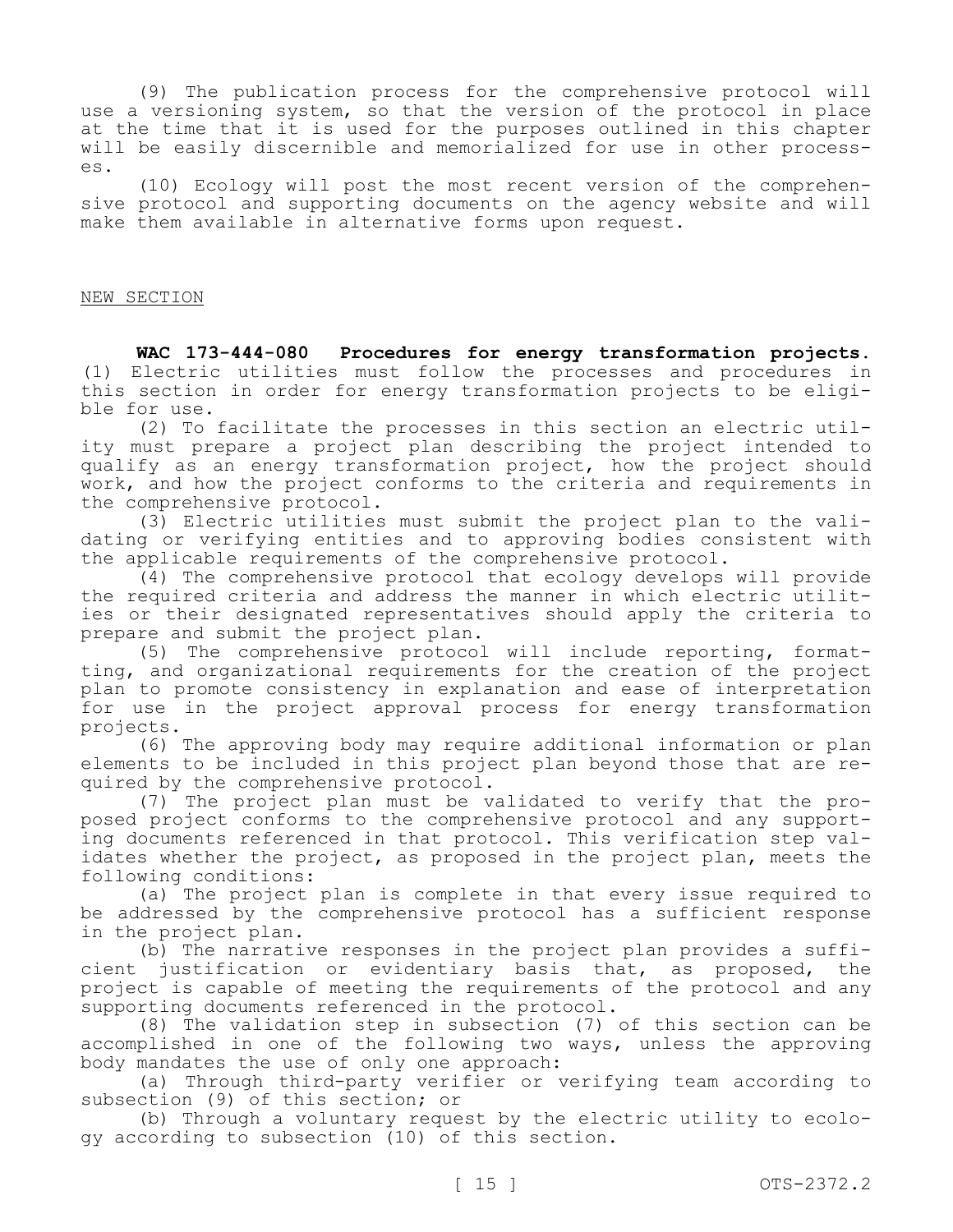(9) The publication process for the comprehensive protocol will use a versioning system, so that the version of the protocol in place at the time that it is used for the purposes outlined in this chapter will be easily discernible and memorialized for use in other processes.

(10) Ecology will post the most recent version of the comprehensive protocol and supporting documents on the agency website and will make them available in alternative forms upon request.

### NEW SECTION

**WAC 173-444-080 Procedures for energy transformation projects.**  (1) Electric utilities must follow the processes and procedures in this section in order for energy transformation projects to be eligible for use.

(2) To facilitate the processes in this section an electric utility must prepare a project plan describing the project intended to qualify as an energy transformation project, how the project should work, and how the project conforms to the criteria and requirements in the comprehensive protocol.

(3) Electric utilities must submit the project plan to the validating or verifying entities and to approving bodies consistent with the applicable requirements of the comprehensive protocol.

(4) The comprehensive protocol that ecology develops will provide the required criteria and address the manner in which electric utilities or their designated representatives should apply the criteria to prepare and submit the project plan.

(5) The comprehensive protocol will include reporting, formatting, and organizational requirements for the creation of the project plan to promote consistency in explanation and ease of interpretation for use in the project approval process for energy transformation projects.

(6) The approving body may require additional information or plan elements to be included in this project plan beyond those that are required by the comprehensive protocol.

(7) The project plan must be validated to verify that the proposed project conforms to the comprehensive protocol and any supporting documents referenced in that protocol. This verification step validates whether the project, as proposed in the project plan, meets the following conditions:

(a) The project plan is complete in that every issue required to be addressed by the comprehensive protocol has a sufficient response in the project plan.

(b) The narrative responses in the project plan provides a sufficient justification or evidentiary basis that, as proposed, the project is capable of meeting the requirements of the protocol and any supporting documents referenced in the protocol.

(8) The validation step in subsection (7) of this section can be accomplished in one of the following two ways, unless the approving body mandates the use of only one approach:

(a) Through third-party verifier or verifying team according to subsection (9) of this section; or

(b) Through a voluntary request by the electric utility to ecology according to subsection (10) of this section.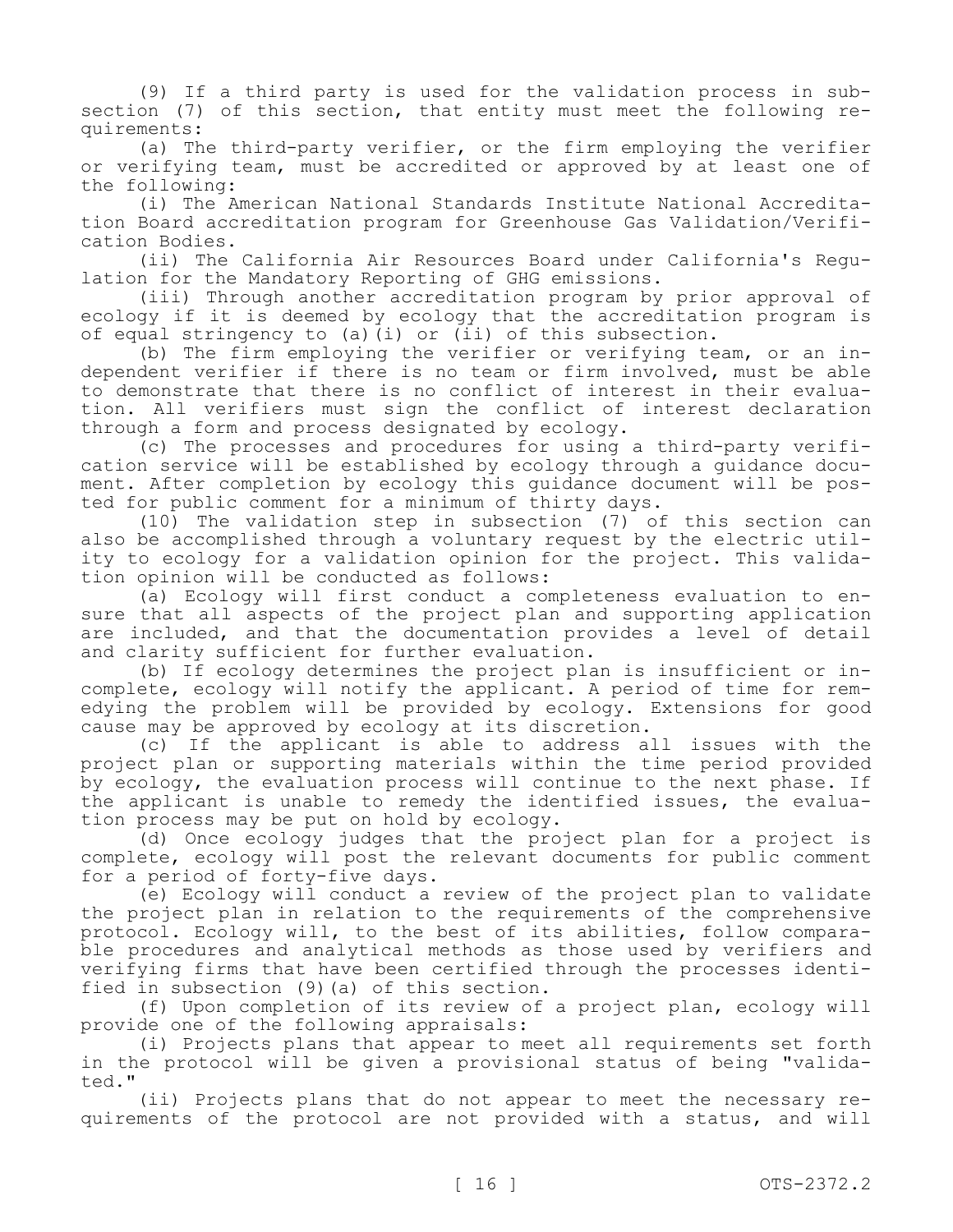(9) If a third party is used for the validation process in subsection (7) of this section, that entity must meet the following requirements:

(a) The third-party verifier, or the firm employing the verifier or verifying team, must be accredited or approved by at least one of the following:

(i) The American National Standards Institute National Accreditation Board accreditation program for Greenhouse Gas Validation/Verification Bodies.

(ii) The California Air Resources Board under California's Regulation for the Mandatory Reporting of GHG emissions.

(iii) Through another accreditation program by prior approval of ecology if it is deemed by ecology that the accreditation program is of equal stringency to (a)(i) or (ii) of this subsection.

(b) The firm employing the verifier or verifying team, or an independent verifier if there is no team or firm involved, must be able to demonstrate that there is no conflict of interest in their evaluation. All verifiers must sign the conflict of interest declaration through a form and process designated by ecology.

(c) The processes and procedures for using a third-party verification service will be established by ecology through a guidance document. After completion by ecology this guidance document will be posted for public comment for a minimum of thirty days.

(10) The validation step in subsection (7) of this section can also be accomplished through a voluntary request by the electric utility to ecology for a validation opinion for the project. This validation opinion will be conducted as follows:

(a) Ecology will first conduct a completeness evaluation to ensure that all aspects of the project plan and supporting application are included, and that the documentation provides a level of detail and clarity sufficient for further evaluation.

(b) If ecology determines the project plan is insufficient or incomplete, ecology will notify the applicant. A period of time for remedying the problem will be provided by ecology. Extensions for good cause may be approved by ecology at its discretion.

(c) If the applicant is able to address all issues with the project plan or supporting materials within the time period provided by ecology, the evaluation process will continue to the next phase. If the applicant is unable to remedy the identified issues, the evaluation process may be put on hold by ecology.

(d) Once ecology judges that the project plan for a project is complete, ecology will post the relevant documents for public comment for a period of forty-five days.

(e) Ecology will conduct a review of the project plan to validate the project plan in relation to the requirements of the comprehensive protocol. Ecology will, to the best of its abilities, follow comparable procedures and analytical methods as those used by verifiers and verifying firms that have been certified through the processes identified in subsection (9)(a) of this section.

(f) Upon completion of its review of a project plan, ecology will provide one of the following appraisals:

(i) Projects plans that appear to meet all requirements set forth in the protocol will be given a provisional status of being "validated."

(ii) Projects plans that do not appear to meet the necessary requirements of the protocol are not provided with a status, and will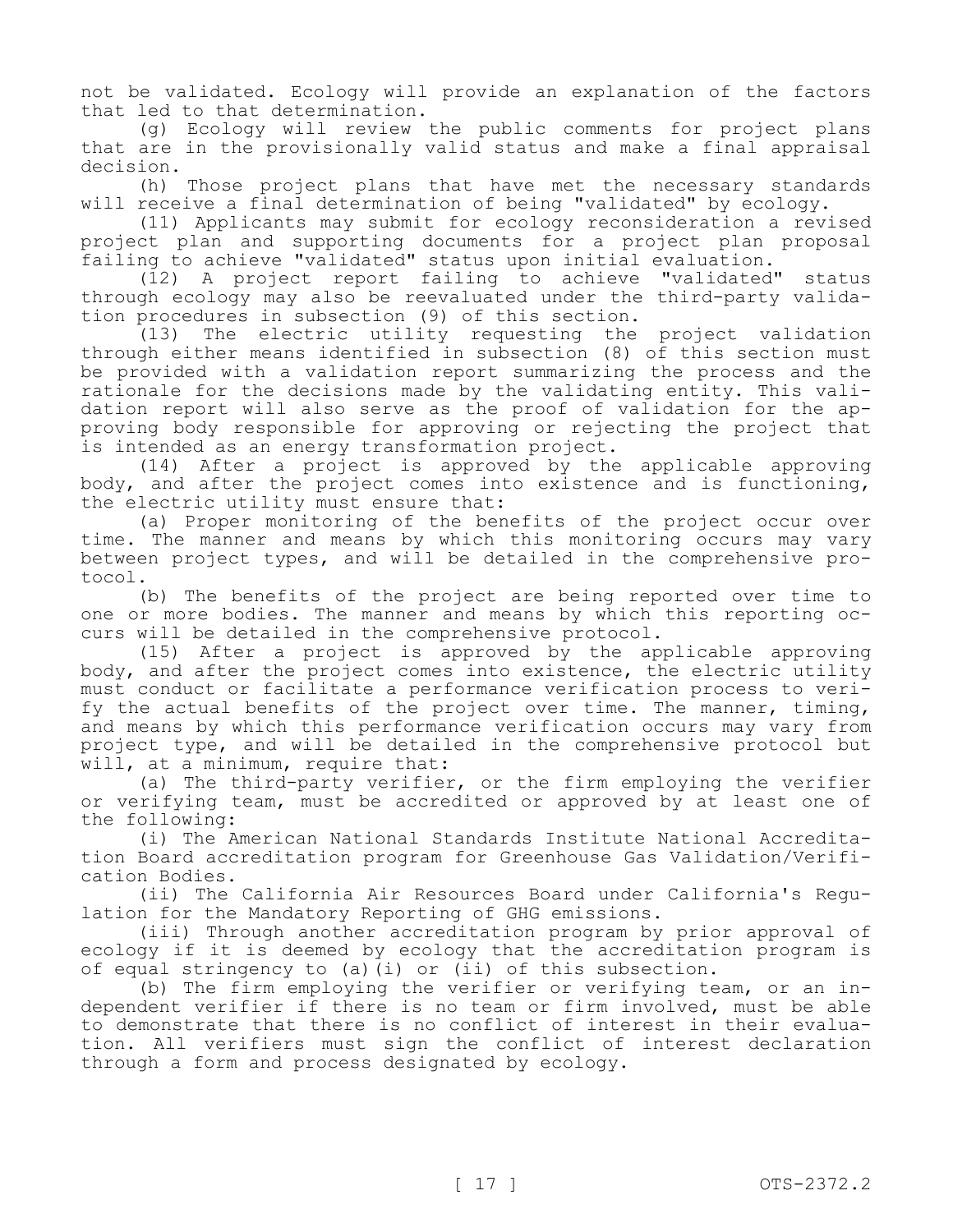not be validated. Ecology will provide an explanation of the factors that led to that determination.

(g) Ecology will review the public comments for project plans that are in the provisionally valid status and make a final appraisal decision.

(h) Those project plans that have met the necessary standards will receive a final determination of being "validated" by ecology.

(11) Applicants may submit for ecology reconsideration a revised project plan and supporting documents for a project plan proposal failing to achieve "validated" status upon initial evaluation.

(12) A project report failing to achieve "validated" status through ecology may also be reevaluated under the third-party validation procedures in subsection (9) of this section.

(13) The electric utility requesting the project validation through either means identified in subsection (8) of this section must be provided with a validation report summarizing the process and the rationale for the decisions made by the validating entity. This validation report will also serve as the proof of validation for the approving body responsible for approving or rejecting the project that is intended as an energy transformation project.

(14) After a project is approved by the applicable approving body, and after the project comes into existence and is functioning, the electric utility must ensure that:

(a) Proper monitoring of the benefits of the project occur over time. The manner and means by which this monitoring occurs may vary between project types, and will be detailed in the comprehensive protocol.

(b) The benefits of the project are being reported over time to one or more bodies. The manner and means by which this reporting occurs will be detailed in the comprehensive protocol.

(15) After a project is approved by the applicable approving body, and after the project comes into existence, the electric utility must conduct or facilitate a performance verification process to verify the actual benefits of the project over time. The manner, timing, and means by which this performance verification occurs may vary from project type, and will be detailed in the comprehensive protocol but will, at a minimum, require that:

(a) The third-party verifier, or the firm employing the verifier or verifying team, must be accredited or approved by at least one of the following:

(i) The American National Standards Institute National Accreditation Board accreditation program for Greenhouse Gas Validation/Verification Bodies.

(ii) The California Air Resources Board under California's Regulation for the Mandatory Reporting of GHG emissions.

(iii) Through another accreditation program by prior approval of ecology if it is deemed by ecology that the accreditation program is of equal stringency to (a)(i) or  $(ii)$  of this subsection.

(b) The firm employing the verifier or verifying team, or an independent verifier if there is no team or firm involved, must be able to demonstrate that there is no conflict of interest in their evaluation. All verifiers must sign the conflict of interest declaration through a form and process designated by ecology.